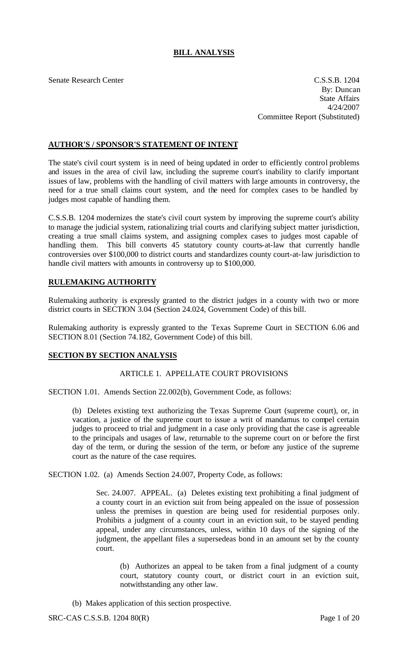# **BILL ANALYSIS**

Senate Research Center C.S.S.B. 1204 By: Duncan State Affairs 4/24/2007 Committee Report (Substituted)

## **AUTHOR'S / SPONSOR'S STATEMENT OF INTENT**

The state's civil court system is in need of being updated in order to efficiently control problems and issues in the area of civil law, including the supreme court's inability to clarify important issues of law, problems with the handling of civil matters with large amounts in controversy, the need for a true small claims court system, and the need for complex cases to be handled by judges most capable of handling them.

C.S.S.B. 1204 modernizes the state's civil court system by improving the supreme court's ability to manage the judicial system, rationalizing trial courts and clarifying subject matter jurisdiction, creating a true small claims system, and assigning complex cases to judges most capable of handling them. This bill converts 45 statutory county courts-at-law that currently handle controversies over \$100,000 to district courts and standardizes county court-at-law jurisdiction to handle civil matters with amounts in controversy up to \$100,000.

## **RULEMAKING AUTHORITY**

Rulemaking authority is expressly granted to the district judges in a county with two or more district courts in SECTION 3.04 (Section 24.024, Government Code) of this bill.

Rulemaking authority is expressly granted to the Texas Supreme Court in SECTION 6.06 and SECTION 8.01 (Section 74.182, Government Code) of this bill.

## **SECTION BY SECTION ANALYSIS**

## ARTICLE 1. APPELLATE COURT PROVISIONS

SECTION 1.01. Amends Section 22.002(b), Government Code, as follows:

(b) Deletes existing text authorizing the Texas Supreme Court (supreme court), or, in vacation, a justice of the supreme court to issue a writ of mandamus to compel certain judges to proceed to trial and judgment in a case only providing that the case is agreeable to the principals and usages of law, returnable to the supreme court on or before the first day of the term, or during the session of the term, or before any justice of the supreme court as the nature of the case requires.

SECTION 1.02. (a) Amends Section 24.007, Property Code, as follows:

Sec. 24.007. APPEAL. (a) Deletes existing text prohibiting a final judgment of a county court in an eviction suit from being appealed on the issue of possession unless the premises in question are being used for residential purposes only. Prohibits a judgment of a county court in an eviction suit, to be stayed pending appeal, under any circumstances, unless, within 10 days of the signing of the judgment, the appellant files a supersedeas bond in an amount set by the county court.

(b) Authorizes an appeal to be taken from a final judgment of a county court, statutory county court, or district court in an eviction suit, notwithstanding any other law.

(b) Makes application of this section prospective.

SRC-CAS C.S.S.B. 1204 80(R) Page 1 of 20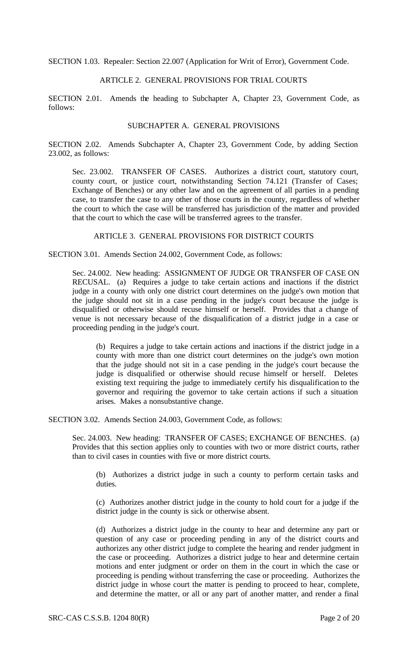SECTION 1.03. Repealer: Section 22.007 (Application for Writ of Error), Government Code.

## ARTICLE 2. GENERAL PROVISIONS FOR TRIAL COURTS

SECTION 2.01. Amends the heading to Subchapter A, Chapter 23, Government Code, as follows:

## SUBCHAPTER A. GENERAL PROVISIONS

SECTION 2.02. Amends Subchapter A, Chapter 23, Government Code, by adding Section 23.002, as follows:

Sec. 23.002. TRANSFER OF CASES. Authorizes a district court, statutory court, county court, or justice court, notwithstanding Section 74.121 (Transfer of Cases; Exchange of Benches) or any other law and on the agreement of all parties in a pending case, to transfer the case to any other of those courts in the county, regardless of whether the court to which the case will be transferred has jurisdiction of the matter and provided that the court to which the case will be transferred agrees to the transfer.

## ARTICLE 3. GENERAL PROVISIONS FOR DISTRICT COURTS

SECTION 3.01. Amends Section 24.002, Government Code, as follows:

Sec. 24.002. New heading: ASSIGNMENT OF JUDGE OR TRANSFER OF CASE ON RECUSAL. (a) Requires a judge to take certain actions and inactions if the district judge in a county with only one district court determines on the judge's own motion that the judge should not sit in a case pending in the judge's court because the judge is disqualified or otherwise should recuse himself or herself. Provides that a change of venue is not necessary because of the disqualification of a district judge in a case or proceeding pending in the judge's court.

(b) Requires a judge to take certain actions and inactions if the district judge in a county with more than one district court determines on the judge's own motion that the judge should not sit in a case pending in the judge's court because the judge is disqualified or otherwise should recuse himself or herself. Deletes existing text requiring the judge to immediately certify his disqualification to the governor and requiring the governor to take certain actions if such a situation arises. Makes a nonsubstantive change.

SECTION 3.02. Amends Section 24.003, Government Code, as follows:

Sec. 24.003. New heading: TRANSFER OF CASES; EXCHANGE OF BENCHES. (a) Provides that this section applies only to counties with two or more district courts, rather than to civil cases in counties with five or more district courts.

(b) Authorizes a district judge in such a county to perform certain tasks and duties.

(c) Authorizes another district judge in the county to hold court for a judge if the district judge in the county is sick or otherwise absent.

(d) Authorizes a district judge in the county to hear and determine any part or question of any case or proceeding pending in any of the district courts and authorizes any other district judge to complete the hearing and render judgment in the case or proceeding. Authorizes a district judge to hear and determine certain motions and enter judgment or order on them in the court in which the case or proceeding is pending without transferring the case or proceeding. Authorizes the district judge in whose court the matter is pending to proceed to hear, complete, and determine the matter, or all or any part of another matter, and render a final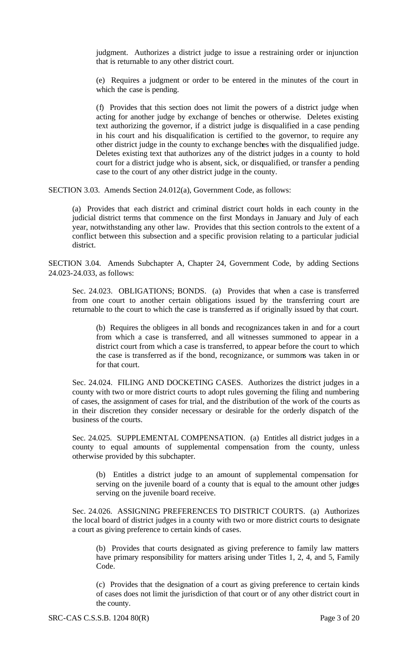judgment. Authorizes a district judge to issue a restraining order or injunction that is returnable to any other district court.

(e) Requires a judgment or order to be entered in the minutes of the court in which the case is pending.

(f) Provides that this section does not limit the powers of a district judge when acting for another judge by exchange of benches or otherwise. Deletes existing text authorizing the governor, if a district judge is disqualified in a case pending in his court and his disqualification is certified to the governor, to require any other district judge in the county to exchange benches with the disqualified judge. Deletes existing text that authorizes any of the district judges in a county to hold court for a district judge who is absent, sick, or disqualified, or transfer a pending case to the court of any other district judge in the county.

SECTION 3.03. Amends Section 24.012(a), Government Code, as follows:

(a) Provides that each district and criminal district court holds in each county in the judicial district terms that commence on the first Mondays in January and July of each year, notwithstanding any other law. Provides that this section controls to the extent of a conflict between this subsection and a specific provision relating to a particular judicial district.

SECTION 3.04. Amends Subchapter A, Chapter 24, Government Code, by adding Sections 24.023-24.033, as follows:

Sec. 24.023. OBLIGATIONS; BONDS. (a) Provides that when a case is transferred from one court to another certain obligations issued by the transferring court are returnable to the court to which the case is transferred as if originally issued by that court.

(b) Requires the obligees in all bonds and recognizances taken in and for a court from which a case is transferred, and all witnesses summoned to appear in a district court from which a case is transferred, to appear before the court to which the case is transferred as if the bond, recognizance, or summons was taken in or for that court.

Sec. 24.024. FILING AND DOCKETING CASES. Authorizes the district judges in a county with two or more district courts to adopt rules governing the filing and numbering of cases, the assignment of cases for trial, and the distribution of the work of the courts as in their discretion they consider necessary or desirable for the orderly dispatch of the business of the courts.

Sec. 24.025. SUPPLEMENTAL COMPENSATION. (a) Entitles all district judges in a county to equal amounts of supplemental compensation from the county, unless otherwise provided by this subchapter.

(b) Entitles a district judge to an amount of supplemental compensation for serving on the juvenile board of a county that is equal to the amount other judges serving on the juvenile board receive.

Sec. 24.026. ASSIGNING PREFERENCES TO DISTRICT COURTS. (a) Authorizes the local board of district judges in a county with two or more district courts to designate a court as giving preference to certain kinds of cases.

(b) Provides that courts designated as giving preference to family law matters have primary responsibility for matters arising under Titles 1, 2, 4, and 5, Family Code.

(c) Provides that the designation of a court as giving preference to certain kinds of cases does not limit the jurisdiction of that court or of any other district court in the county.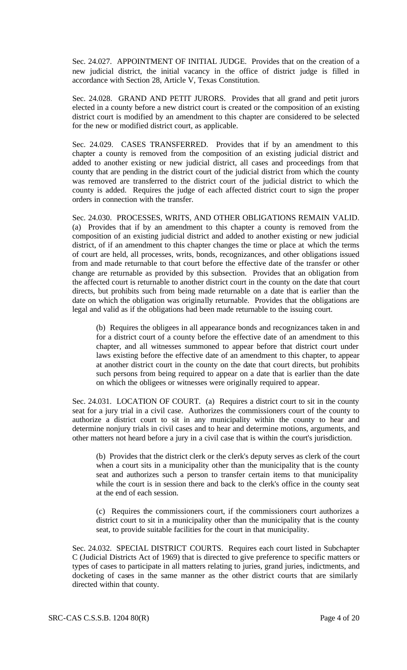Sec. 24.027. APPOINTMENT OF INITIAL JUDGE. Provides that on the creation of a new judicial district, the initial vacancy in the office of district judge is filled in accordance with Section 28, Article V, Texas Constitution.

Sec. 24.028. GRAND AND PETIT JURORS. Provides that all grand and petit jurors elected in a county before a new district court is created or the composition of an existing district court is modified by an amendment to this chapter are considered to be selected for the new or modified district court, as applicable.

Sec. 24.029. CASES TRANSFERRED. Provides that if by an amendment to this chapter a county is removed from the composition of an existing judicial district and added to another existing or new judicial district, all cases and proceedings from that county that are pending in the district court of the judicial district from which the county was removed are transferred to the district court of the judicial district to which the county is added. Requires the judge of each affected district court to sign the proper orders in connection with the transfer.

Sec. 24.030. PROCESSES, WRITS, AND OTHER OBLIGATIONS REMAIN VALID. (a) Provides that if by an amendment to this chapter a county is removed from the composition of an existing judicial district and added to another existing or new judicial district, of if an amendment to this chapter changes the time or place at which the terms of court are held, all processes, writs, bonds, recognizances, and other obligations issued from and made returnable to that court before the effective date of the transfer or other change are returnable as provided by this subsection. Provides that an obligation from the affected court is returnable to another district court in the county on the date that court directs, but prohibits such from being made returnable on a date that is earlier than the date on which the obligation was originally returnable. Provides that the obligations are legal and valid as if the obligations had been made returnable to the issuing court.

(b) Requires the obligees in all appearance bonds and recognizances taken in and for a district court of a county before the effective date of an amendment to this chapter, and all witnesses summoned to appear before that district court under laws existing before the effective date of an amendment to this chapter, to appear at another district court in the county on the date that court directs, but prohibits such persons from being required to appear on a date that is earlier than the date on which the obligees or witnesses were originally required to appear.

Sec. 24.031. LOCATION OF COURT. (a) Requires a district court to sit in the county seat for a jury trial in a civil case. Authorizes the commissioners court of the county to authorize a district court to sit in any municipality within the county to hear and determine nonjury trials in civil cases and to hear and determine motions, arguments, and other matters not heard before a jury in a civil case that is within the court's jurisdiction.

(b) Provides that the district clerk or the clerk's deputy serves as clerk of the court when a court sits in a municipality other than the municipality that is the county seat and authorizes such a person to transfer certain items to that municipality while the court is in session there and back to the clerk's office in the county seat at the end of each session.

(c) Requires the commissioners court, if the commissioners court authorizes a district court to sit in a municipality other than the municipality that is the county seat, to provide suitable facilities for the court in that municipality.

Sec. 24.032. SPECIAL DISTRICT COURTS. Requires each court listed in Subchapter C (Judicial Districts Act of 1969) that is directed to give preference to specific matters or types of cases to participate in all matters relating to juries, grand juries, indictments, and docketing of cases in the same manner as the other district courts that are similarly directed within that county.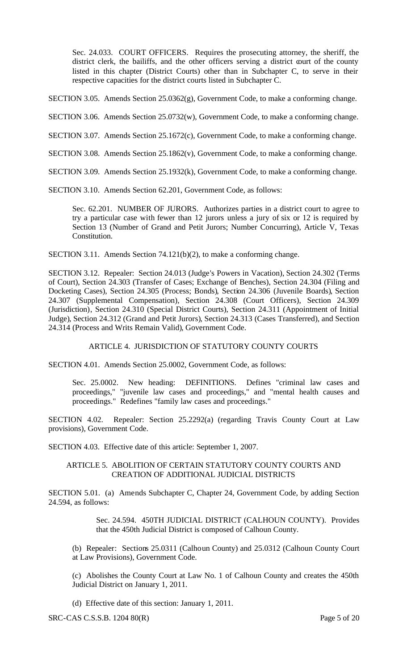Sec. 24.033. COURT OFFICERS. Requires the prosecuting attorney, the sheriff, the district clerk, the bailiffs, and the other officers serving a district court of the county listed in this chapter (District Courts) other than in Subchapter C, to serve in their respective capacities for the district courts listed in Subchapter C.

SECTION 3.05. Amends Section 25.0362(g), Government Code, to make a conforming change.

- SECTION 3.06. Amends Section 25.0732(w), Government Code, to make a conforming change.
- SECTION 3.07. Amends Section 25.1672(c), Government Code, to make a conforming change.
- SECTION 3.08. Amends Section 25.1862(v), Government Code, to make a conforming change.
- SECTION 3.09. Amends Section 25.1932(k), Government Code, to make a conforming change.

SECTION 3.10. Amends Section 62.201, Government Code, as follows:

Sec. 62.201. NUMBER OF JURORS. Authorizes parties in a district court to agree to try a particular case with fewer than 12 jurors unless a jury of six or 12 is required by Section 13 (Number of Grand and Petit Jurors; Number Concurring), Article V, Texas Constitution.

SECTION 3.11. Amends Section 74.121(b)(2), to make a conforming change.

SECTION 3.12. Repealer: Section 24.013 (Judge's Powers in Vacation), Section 24.302 (Terms of Court), Section 24.303 (Transfer of Cases; Exchange of Benches), Section 24.304 (Filing and Docketing Cases), Section 24.305 (Process; Bonds), Section 24.306 (Juvenile Boards), Section 24.307 (Supplemental Compensation), Section 24.308 (Court Officers), Section 24.309 (Jurisdiction), Section 24.310 (Special District Courts), Section 24.311 (Appointment of Initial Judge), Section 24.312 (Grand and Petit Jurors), Section 24.313 (Cases Transferred), and Section 24.314 (Process and Writs Remain Valid), Government Code.

#### ARTICLE 4. JURISDICTION OF STATUTORY COUNTY COURTS

SECTION 4.01. Amends Section 25.0002, Government Code, as follows:

Sec. 25.0002. New heading: DEFINITIONS. Defines "criminal law cases and proceedings," "juvenile law cases and proceedings," and "mental health causes and proceedings." Redefines "family law cases and proceedings."

SECTION 4.02. Repealer: Section 25.2292(a) (regarding Travis County Court at Law provisions), Government Code.

SECTION 4.03. Effective date of this article: September 1, 2007.

#### ARTICLE 5. ABOLITION OF CERTAIN STATUTORY COUNTY COURTS AND CREATION OF ADDITIONAL JUDICIAL DISTRICTS

SECTION 5.01. (a) Amends Subchapter C, Chapter 24, Government Code, by adding Section 24.594, as follows:

> Sec. 24.594. 450TH JUDICIAL DISTRICT (CALHOUN COUNTY). Provides that the 450th Judicial District is composed of Calhoun County.

(b) Repealer: Sections 25.0311 (Calhoun County) and 25.0312 (Calhoun County Court at Law Provisions), Government Code.

(c) Abolishes the County Court at Law No. 1 of Calhoun County and creates the 450th Judicial District on January 1, 2011.

(d) Effective date of this section: January 1, 2011.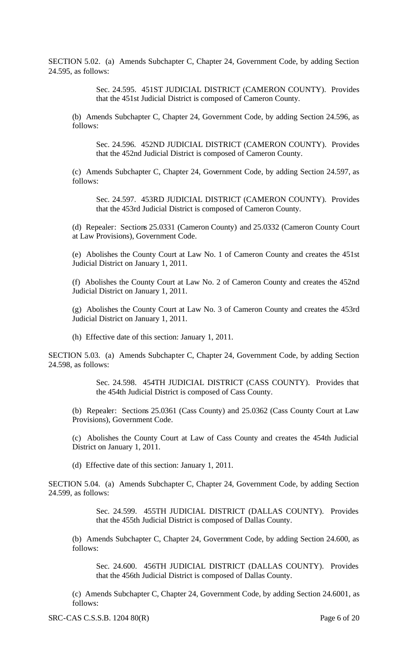SECTION 5.02. (a) Amends Subchapter C, Chapter 24, Government Code, by adding Section 24.595, as follows:

> Sec. 24.595. 451ST JUDICIAL DISTRICT (CAMERON COUNTY). Provides that the 451st Judicial District is composed of Cameron County.

(b) Amends Subchapter C, Chapter 24, Government Code, by adding Section 24.596, as follows:

Sec. 24.596. 452ND JUDICIAL DISTRICT (CAMERON COUNTY). Provides that the 452nd Judicial District is composed of Cameron County.

(c) Amends Subchapter C, Chapter 24, Government Code, by adding Section 24.597, as follows:

Sec. 24.597. 453RD JUDICIAL DISTRICT (CAMERON COUNTY). Provides that the 453rd Judicial District is composed of Cameron County.

(d) Repealer: Sections 25.0331 (Cameron County) and 25.0332 (Cameron County Court at Law Provisions), Government Code.

(e) Abolishes the County Court at Law No. 1 of Cameron County and creates the 451st Judicial District on January 1, 2011.

(f) Abolishes the County Court at Law No. 2 of Cameron County and creates the 452nd Judicial District on January 1, 2011.

(g) Abolishes the County Court at Law No. 3 of Cameron County and creates the 453rd Judicial District on January 1, 2011.

(h) Effective date of this section: January 1, 2011.

SECTION 5.03. (a) Amends Subchapter C, Chapter 24, Government Code, by adding Section 24.598, as follows:

> Sec. 24.598. 454TH JUDICIAL DISTRICT (CASS COUNTY). Provides that the 454th Judicial District is composed of Cass County.

(b) Repealer: Sections 25.0361 (Cass County) and 25.0362 (Cass County Court at Law Provisions), Government Code.

(c) Abolishes the County Court at Law of Cass County and creates the 454th Judicial District on January 1, 2011.

(d) Effective date of this section: January 1, 2011.

SECTION 5.04. (a) Amends Subchapter C, Chapter 24, Government Code, by adding Section 24.599, as follows:

> Sec. 24.599. 455TH JUDICIAL DISTRICT (DALLAS COUNTY). Provides that the 455th Judicial District is composed of Dallas County.

(b) Amends Subchapter C, Chapter 24, Government Code, by adding Section 24.600, as follows:

Sec. 24.600. 456TH JUDICIAL DISTRICT (DALLAS COUNTY). Provides that the 456th Judicial District is composed of Dallas County.

(c) Amends Subchapter C, Chapter 24, Government Code, by adding Section 24.6001, as follows: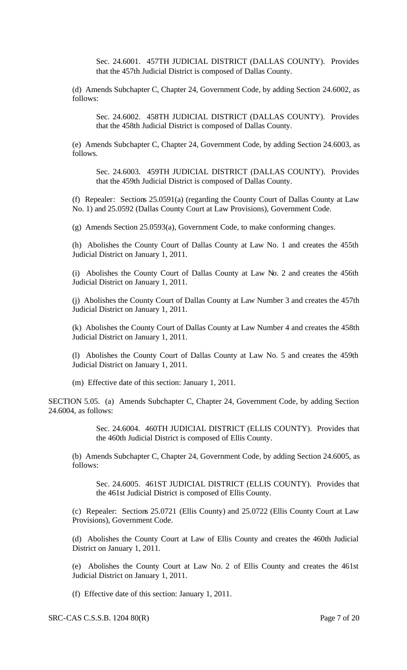Sec. 24.6001. 457TH JUDICIAL DISTRICT (DALLAS COUNTY). Provides that the 457th Judicial District is composed of Dallas County.

(d) Amends Subchapter C, Chapter 24, Government Code, by adding Section 24.6002, as follows:

Sec. 24.6002. 458TH JUDICIAL DISTRICT (DALLAS COUNTY). Provides that the 458th Judicial District is composed of Dallas County.

(e) Amends Subchapter C, Chapter 24, Government Code, by adding Section 24.6003, as follows.

Sec. 24.6003. 459TH JUDICIAL DISTRICT (DALLAS COUNTY). Provides that the 459th Judicial District is composed of Dallas County.

(f) Repealer: Sections 25.0591(a) (regarding the County Court of Dallas County at Law No. 1) and 25.0592 (Dallas County Court at Law Provisions), Government Code.

(g) Amends Section 25.0593(a), Government Code, to make conforming changes.

(h) Abolishes the County Court of Dallas County at Law No. 1 and creates the 455th Judicial District on January 1, 2011.

(i) Abolishes the County Court of Dallas County at Law No. 2 and creates the 456th Judicial District on January 1, 2011.

(j) Abolishes the County Court of Dallas County at Law Number 3 and creates the 457th Judicial District on January 1, 2011.

(k) Abolishes the County Court of Dallas County at Law Number 4 and creates the 458th Judicial District on January 1, 2011.

(l) Abolishes the County Court of Dallas County at Law No. 5 and creates the 459th Judicial District on January 1, 2011.

(m) Effective date of this section: January 1, 2011.

SECTION 5.05. (a) Amends Subchapter C, Chapter 24, Government Code, by adding Section 24.6004, as follows:

> Sec. 24.6004. 460TH JUDICIAL DISTRICT (ELLIS COUNTY). Provides that the 460th Judicial District is composed of Ellis County.

(b) Amends Subchapter C, Chapter 24, Government Code, by adding Section 24.6005, as follows:

Sec. 24.6005. 461ST JUDICIAL DISTRICT (ELLIS COUNTY). Provides that the 461st Judicial District is composed of Ellis County.

(c) Repealer: Sections 25.0721 (Ellis County) and 25.0722 (Ellis County Court at Law Provisions), Government Code.

(d) Abolishes the County Court at Law of Ellis County and creates the 460th Judicial District on January 1, 2011.

(e) Abolishes the County Court at Law No. 2 of Ellis County and creates the 461st Judicial District on January 1, 2011.

(f) Effective date of this section: January 1, 2011.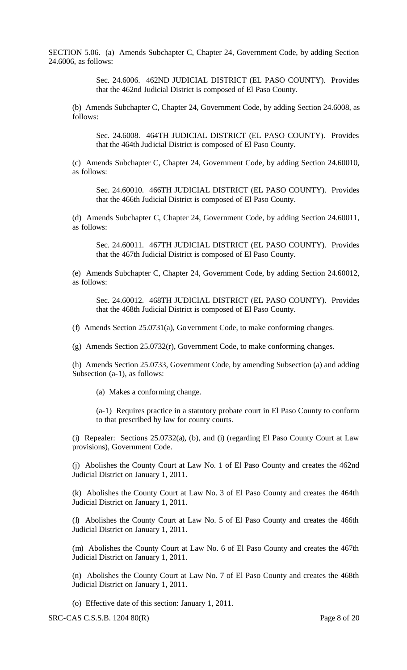SECTION 5.06. (a) Amends Subchapter C, Chapter 24, Government Code, by adding Section 24.6006, as follows:

> Sec. 24.6006. 462ND JUDICIAL DISTRICT (EL PASO COUNTY). Provides that the 462nd Judicial District is composed of El Paso County.

(b) Amends Subchapter C, Chapter 24, Government Code, by adding Section 24.6008, as follows:

Sec. 24.6008. 464TH JUDICIAL DISTRICT (EL PASO COUNTY). Provides that the 464th Judicial District is composed of El Paso County.

(c) Amends Subchapter C, Chapter 24, Government Code, by adding Section 24.60010, as follows:

Sec. 24.60010. 466TH JUDICIAL DISTRICT (EL PASO COUNTY). Provides that the 466th Judicial District is composed of El Paso County.

(d) Amends Subchapter C, Chapter 24, Government Code, by adding Section 24.60011, as follows:

Sec. 24.60011. 467TH JUDICIAL DISTRICT (EL PASO COUNTY). Provides that the 467th Judicial District is composed of El Paso County.

(e) Amends Subchapter C, Chapter 24, Government Code, by adding Section 24.60012, as follows:

Sec. 24.60012. 468TH JUDICIAL DISTRICT (EL PASO COUNTY). Provides that the 468th Judicial District is composed of El Paso County.

(f) Amends Section 25.0731(a), Government Code, to make conforming changes.

(g) Amends Section 25.0732(r), Government Code, to make conforming changes.

(h) Amends Section 25.0733, Government Code, by amending Subsection (a) and adding Subsection (a-1), as follows:

(a) Makes a conforming change.

(a-1) Requires practice in a statutory probate court in El Paso County to conform to that prescribed by law for county courts.

(i) Repealer: Sections 25.0732(a), (b), and (i) (regarding El Paso County Court at Law provisions), Government Code.

(j) Abolishes the County Court at Law No. 1 of El Paso County and creates the 462nd Judicial District on January 1, 2011.

(k) Abolishes the County Court at Law No. 3 of El Paso County and creates the 464th Judicial District on January 1, 2011.

(l) Abolishes the County Court at Law No. 5 of El Paso County and creates the 466th Judicial District on January 1, 2011.

(m) Abolishes the County Court at Law No. 6 of El Paso County and creates the 467th Judicial District on January 1, 2011.

(n) Abolishes the County Court at Law No. 7 of El Paso County and creates the 468th Judicial District on January 1, 2011.

(o) Effective date of this section: January 1, 2011.

SRC-CAS C.S.S.B. 1204 80(R) Page 8 of 20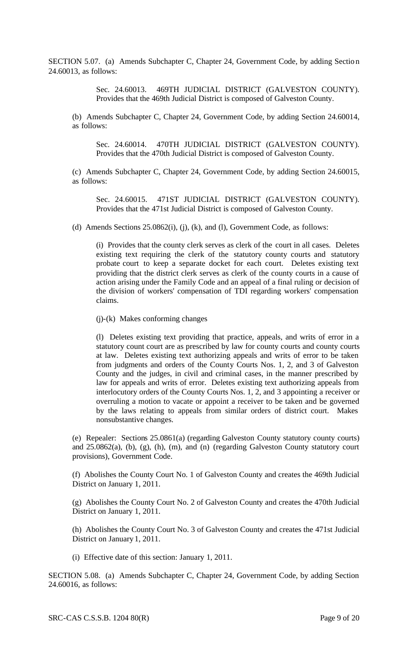SECTION 5.07. (a) Amends Subchapter C, Chapter 24, Government Code, by adding Section 24.60013, as follows:

> Sec. 24.60013. 469TH JUDICIAL DISTRICT (GALVESTON COUNTY). Provides that the 469th Judicial District is composed of Galveston County.

(b) Amends Subchapter C, Chapter 24, Government Code, by adding Section 24.60014, as follows:

Sec. 24.60014. 470TH JUDICIAL DISTRICT (GALVESTON COUNTY). Provides that the 470th Judicial District is composed of Galveston County.

(c) Amends Subchapter C, Chapter 24, Government Code, by adding Section 24.60015, as follows:

Sec. 24.60015. 471ST JUDICIAL DISTRICT (GALVESTON COUNTY). Provides that the 471st Judicial District is composed of Galveston County.

(d) Amends Sections  $25.0862(i)$ , (j), (k), and (l), Government Code, as follows:

(i) Provides that the county clerk serves as clerk of the court in all cases. Deletes existing text requiring the clerk of the statutory county courts and statutory probate court to keep a separate docket for each court. Deletes existing text providing that the district clerk serves as clerk of the county courts in a cause of action arising under the Family Code and an appeal of a final ruling or decision of the division of workers' compensation of TDI regarding workers' compensation claims.

(j)-(k) Makes conforming changes

(l) Deletes existing text providing that practice, appeals, and writs of error in a statutory count court are as prescribed by law for county courts and county courts at law. Deletes existing text authorizing appeals and writs of error to be taken from judgments and orders of the County Courts Nos. 1, 2, and 3 of Galveston County and the judges, in civil and criminal cases, in the manner prescribed by law for appeals and writs of error. Deletes existing text authorizing appeals from interlocutory orders of the County Courts Nos. 1, 2, and 3 appointing a receiver or overruling a motion to vacate or appoint a receiver to be taken and be governed by the laws relating to appeals from similar orders of district court. Makes nonsubstantive changes.

(e) Repealer: Sections 25.0861(a) (regarding Galveston County statutory county courts) and 25.0862(a), (b), (g), (h), (m), and (n) (regarding Galveston County statutory court provisions), Government Code.

(f) Abolishes the County Court No. 1 of Galveston County and creates the 469th Judicial District on January 1, 2011.

(g) Abolishes the County Court No. 2 of Galveston County and creates the 470th Judicial District on January 1, 2011.

(h) Abolishes the County Court No. 3 of Galveston County and creates the 471st Judicial District on January 1, 2011.

(i) Effective date of this section: January 1, 2011.

SECTION 5.08. (a) Amends Subchapter C, Chapter 24, Government Code, by adding Section 24.60016, as follows: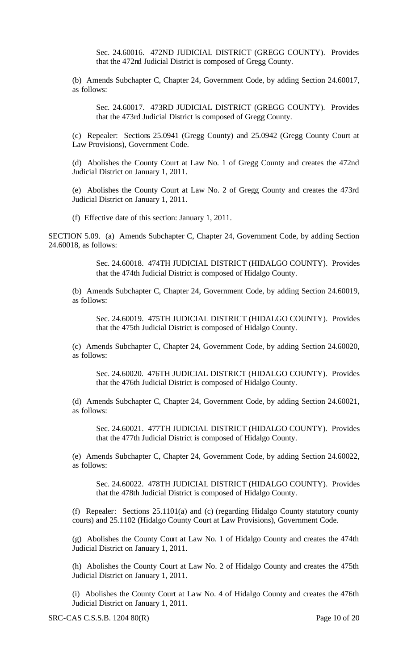Sec. 24.60016. 472ND JUDICIAL DISTRICT (GREGG COUNTY). Provides that the 472nd Judicial District is composed of Gregg County.

(b) Amends Subchapter C, Chapter 24, Government Code, by adding Section 24.60017, as follows:

Sec. 24.60017. 473RD JUDICIAL DISTRICT (GREGG COUNTY). Provides that the 473rd Judicial District is composed of Gregg County.

(c) Repealer: Sections 25.0941 (Gregg County) and 25.0942 (Gregg County Court at Law Provisions), Government Code.

(d) Abolishes the County Court at Law No. 1 of Gregg County and creates the 472nd Judicial District on January 1, 2011.

(e) Abolishes the County Court at Law No. 2 of Gregg County and creates the 473rd Judicial District on January 1, 2011.

(f) Effective date of this section: January 1, 2011.

SECTION 5.09. (a) Amends Subchapter C, Chapter 24, Government Code, by adding Section 24.60018, as follows:

> Sec. 24.60018. 474TH JUDICIAL DISTRICT (HIDALGO COUNTY). Provides that the 474th Judicial District is composed of Hidalgo County.

(b) Amends Subchapter C, Chapter 24, Government Code, by adding Section 24.60019, as follows:

Sec. 24.60019. 475TH JUDICIAL DISTRICT (HIDALGO COUNTY). Provides that the 475th Judicial District is composed of Hidalgo County.

(c) Amends Subchapter C, Chapter 24, Government Code, by adding Section 24.60020, as follows:

Sec. 24.60020. 476TH JUDICIAL DISTRICT (HIDALGO COUNTY). Provides that the 476th Judicial District is composed of Hidalgo County.

(d) Amends Subchapter C, Chapter 24, Government Code, by adding Section 24.60021, as follows:

Sec. 24.60021. 477TH JUDICIAL DISTRICT (HIDALGO COUNTY). Provides that the 477th Judicial District is composed of Hidalgo County.

(e) Amends Subchapter C, Chapter 24, Government Code, by adding Section 24.60022, as follows:

Sec. 24.60022. 478TH JUDICIAL DISTRICT (HIDALGO COUNTY). Provides that the 478th Judicial District is composed of Hidalgo County.

(f) Repealer: Sections 25.1101(a) and (c) (regarding Hidalgo County statutory county courts) and 25.1102 (Hidalgo County Court at Law Provisions), Government Code.

(g) Abolishes the County Court at Law No. 1 of Hidalgo County and creates the 474th Judicial District on January 1, 2011.

(h) Abolishes the County Court at Law No. 2 of Hidalgo County and creates the 475th Judicial District on January 1, 2011.

(i) Abolishes the County Court at Law No. 4 of Hidalgo County and creates the 476th Judicial District on January 1, 2011.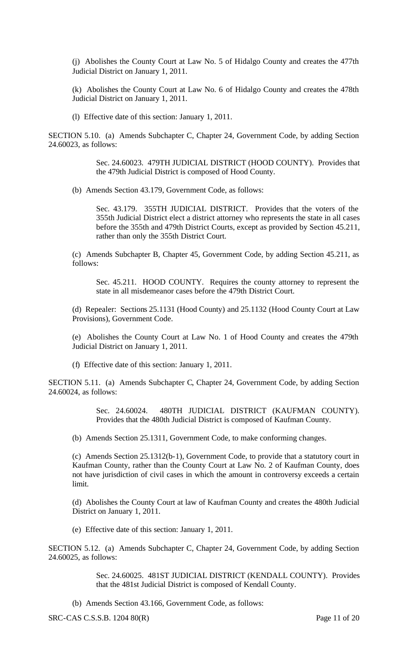(j) Abolishes the County Court at Law No. 5 of Hidalgo County and creates the 477th Judicial District on January 1, 2011.

(k) Abolishes the County Court at Law No. 6 of Hidalgo County and creates the 478th Judicial District on January 1, 2011.

(l) Effective date of this section: January 1, 2011.

SECTION 5.10. (a) Amends Subchapter C, Chapter 24, Government Code, by adding Section 24.60023, as follows:

> Sec. 24.60023. 479TH JUDICIAL DISTRICT (HOOD COUNTY). Provides that the 479th Judicial District is composed of Hood County.

(b) Amends Section 43.179, Government Code, as follows:

Sec. 43.179. 355TH JUDICIAL DISTRICT. Provides that the voters of the 355th Judicial District elect a district attorney who represents the state in all cases before the 355th and 479th District Courts, except as provided by Section 45.211, rather than only the 355th District Court.

(c) Amends Subchapter B, Chapter 45, Government Code, by adding Section 45.211, as follows:

Sec. 45.211. HOOD COUNTY. Requires the county attorney to represent the state in all misdemeanor cases before the 479th District Court.

(d) Repealer: Sections 25.1131 (Hood County) and 25.1132 (Hood County Court at Law Provisions), Government Code.

(e) Abolishes the County Court at Law No. 1 of Hood County and creates the 479th Judicial District on January 1, 2011.

(f) Effective date of this section: January 1, 2011.

SECTION 5.11. (a) Amends Subchapter C, Chapter 24, Government Code, by adding Section 24.60024, as follows:

> Sec. 24.60024. 480TH JUDICIAL DISTRICT (KAUFMAN COUNTY). Provides that the 480th Judicial District is composed of Kaufman County.

(b) Amends Section 25.1311, Government Code, to make conforming changes.

(c) Amends Section 25.1312(b-1), Government Code, to provide that a statutory court in Kaufman County, rather than the County Court at Law No. 2 of Kaufman County, does not have jurisdiction of civil cases in which the amount in controversy exceeds a certain limit.

(d) Abolishes the County Court at law of Kaufman County and creates the 480th Judicial District on January 1, 2011.

(e) Effective date of this section: January 1, 2011.

SECTION 5.12. (a) Amends Subchapter C, Chapter 24, Government Code, by adding Section 24.60025, as follows:

> Sec. 24.60025. 481ST JUDICIAL DISTRICT (KENDALL COUNTY). Provides that the 481st Judicial District is composed of Kendall County.

(b) Amends Section 43.166, Government Code, as follows:

SRC-CAS C.S.S.B. 1204 80(R) Page 11 of 20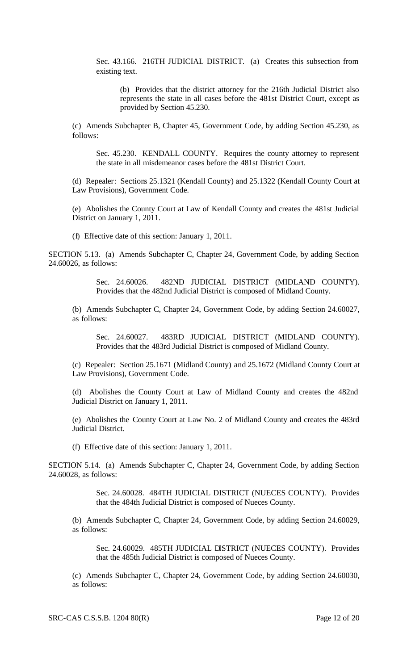Sec. 43.166. 216TH JUDICIAL DISTRICT. (a) Creates this subsection from existing text.

(b) Provides that the district attorney for the 216th Judicial District also represents the state in all cases before the 481st District Court, except as provided by Section 45.230.

(c) Amends Subchapter B, Chapter 45, Government Code, by adding Section 45.230, as follows:

Sec. 45.230. KENDALL COUNTY. Requires the county attorney to represent the state in all misdemeanor cases before the 481st District Court.

(d) Repealer: Sections 25.1321 (Kendall County) and 25.1322 (Kendall County Court at Law Provisions), Government Code.

(e) Abolishes the County Court at Law of Kendall County and creates the 481st Judicial District on January 1, 2011.

(f) Effective date of this section: January 1, 2011.

SECTION 5.13. (a) Amends Subchapter C, Chapter 24, Government Code, by adding Section 24.60026, as follows:

> Sec. 24.60026. 482ND JUDICIAL DISTRICT (MIDLAND COUNTY). Provides that the 482nd Judicial District is composed of Midland County.

(b) Amends Subchapter C, Chapter 24, Government Code, by adding Section 24.60027, as follows:

Sec. 24.60027. 483RD JUDICIAL DISTRICT (MIDLAND COUNTY). Provides that the 483rd Judicial District is composed of Midland County.

(c) Repealer: Section 25.1671 (Midland County) and 25.1672 (Midland County Court at Law Provisions), Government Code.

(d) Abolishes the County Court at Law of Midland County and creates the 482nd Judicial District on January 1, 2011.

(e) Abolishes the County Court at Law No. 2 of Midland County and creates the 483rd Judicial District.

(f) Effective date of this section: January 1, 2011.

SECTION 5.14. (a) Amends Subchapter C, Chapter 24, Government Code, by adding Section 24.60028, as follows:

> Sec. 24.60028. 484TH JUDICIAL DISTRICT (NUECES COUNTY). Provides that the 484th Judicial District is composed of Nueces County.

(b) Amends Subchapter C, Chapter 24, Government Code, by adding Section 24.60029, as follows:

Sec. 24.60029. 485TH JUDICIAL DISTRICT (NUECES COUNTY). Provides that the 485th Judicial District is composed of Nueces County.

(c) Amends Subchapter C, Chapter 24, Government Code, by adding Section 24.60030, as follows: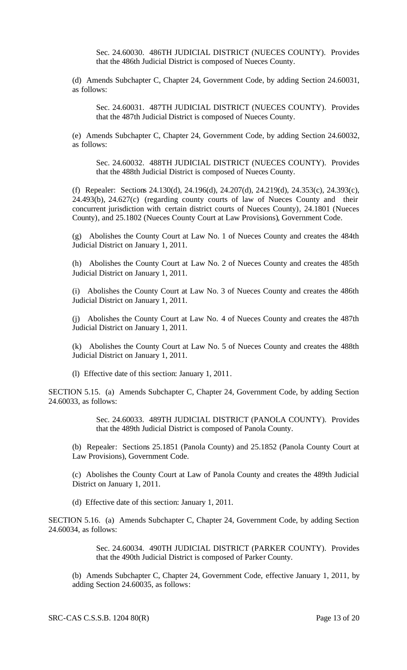Sec. 24.60030. 486TH JUDICIAL DISTRICT (NUECES COUNTY). Provides that the 486th Judicial District is composed of Nueces County.

(d) Amends Subchapter C, Chapter 24, Government Code, by adding Section 24.60031, as follows:

Sec. 24.60031. 487TH JUDICIAL DISTRICT (NUECES COUNTY). Provides that the 487th Judicial District is composed of Nueces County.

(e) Amends Subchapter C, Chapter 24, Government Code, by adding Section 24.60032, as follows:

Sec. 24.60032. 488TH JUDICIAL DISTRICT (NUECES COUNTY). Provides that the 488th Judicial District is composed of Nueces County.

(f) Repealer: Sections 24.130(d), 24.196(d), 24.207(d), 24.219(d), 24.353(c), 24.393(c), 24.493(b), 24.627(c) (regarding county courts of law of Nueces County and their concurrent jurisdiction with certain district courts of Nueces County), 24.1801 (Nueces County), and 25.1802 (Nueces County Court at Law Provisions), Government Code.

(g) Abolishes the County Court at Law No. 1 of Nueces County and creates the 484th Judicial District on January 1, 2011.

(h) Abolishes the County Court at Law No. 2 of Nueces County and creates the 485th Judicial District on January 1, 2011.

(i) Abolishes the County Court at Law No. 3 of Nueces County and creates the 486th Judicial District on January 1, 2011.

(j) Abolishes the County Court at Law No. 4 of Nueces County and creates the 487th Judicial District on January 1, 2011.

(k) Abolishes the County Court at Law No. 5 of Nueces County and creates the 488th Judicial District on January 1, 2011.

(l) Effective date of this section: January 1, 2011.

SECTION 5.15. (a) Amends Subchapter C, Chapter 24, Government Code, by adding Section 24.60033, as follows:

> Sec. 24.60033. 489TH JUDICIAL DISTRICT (PANOLA COUNTY). Provides that the 489th Judicial District is composed of Panola County.

(b) Repealer: Sections 25.1851 (Panola County) and 25.1852 (Panola County Court at Law Provisions), Government Code.

(c) Abolishes the County Court at Law of Panola County and creates the 489th Judicial District on January 1, 2011.

(d) Effective date of this section: January 1, 2011.

SECTION 5.16. (a) Amends Subchapter C, Chapter 24, Government Code, by adding Section 24.60034, as follows:

> Sec. 24.60034. 490TH JUDICIAL DISTRICT (PARKER COUNTY). Provides that the 490th Judicial District is composed of Parker County.

(b) Amends Subchapter C, Chapter 24, Government Code, effective January 1, 2011, by adding Section 24.60035, as follows: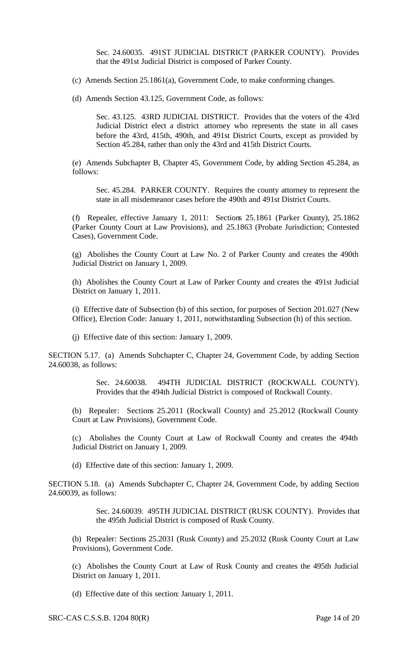Sec. 24.60035. 491ST JUDICIAL DISTRICT (PARKER COUNTY). Provides that the 491st Judicial District is composed of Parker County.

- (c) Amends Section 25.1861(a), Government Code, to make conforming changes.
- (d) Amends Section 43.125, Government Code, as follows:

Sec. 43.125. 43RD JUDICIAL DISTRICT. Provides that the voters of the 43rd Judicial District elect a district attorney who represents the state in all cases before the 43rd, 415th, 490th, and 491st District Courts, except as provided by Section 45.284, rather than only the 43rd and 415th District Courts.

(e) Amends Subchapter B, Chapter 45, Government Code, by adding Section 45.284, as follows:

Sec. 45.284. PARKER COUNTY. Requires the county attorney to represent the state in all misdemeanor cases before the 490th and 491st District Courts.

(f) Repealer, effective January 1, 2011: Sections 25.1861 (Parker County), 25.1862 (Parker County Court at Law Provisions), and 25.1863 (Probate Jurisdiction; Contested Cases), Government Code.

(g) Abolishes the County Court at Law No. 2 of Parker County and creates the 490th Judicial District on January 1, 2009.

(h) Abolishes the County Court at Law of Parker County and creates the 491st Judicial District on January 1, 2011.

(i) Effective date of Subsection (b) of this section, for purposes of Section 201.027 (New Office), Election Code: January 1, 2011, notwithstanding Subsection (h) of this section.

(j) Effective date of this section: January 1, 2009.

SECTION 5.17. (a) Amends Subchapter C, Chapter 24, Government Code, by adding Section 24.60038, as follows:

> Sec. 24.60038. 494TH JUDICIAL DISTRICT (ROCKWALL COUNTY). Provides that the 494th Judicial District is composed of Rockwall County.

(b) Repealer: Sections 25.2011 (Rockwall County) and 25.2012 (Rockwall County Court at Law Provisions), Government Code.

(c) Abolishes the County Court at Law of Rockwall County and creates the 494th Judicial District on January 1, 2009.

(d) Effective date of this section: January 1, 2009.

SECTION 5.18. (a) Amends Subchapter C, Chapter 24, Government Code, by adding Section 24.60039, as follows:

> Sec. 24.60039. 495TH JUDICIAL DISTRICT (RUSK COUNTY). Provides that the 495th Judicial District is composed of Rusk County.

(b) Repealer: Sections 25.2031 (Rusk County) and 25.2032 (Rusk County Court at Law Provisions), Government Code.

(c) Abolishes the County Court at Law of Rusk County and creates the 495th Judicial District on January 1, 2011.

(d) Effective date of this section: January 1, 2011.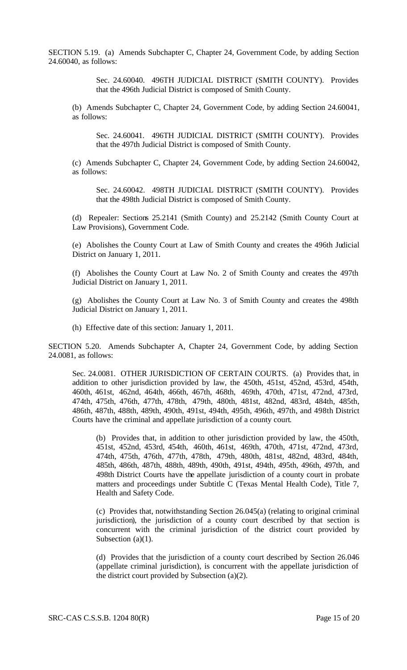SECTION 5.19. (a) Amends Subchapter C, Chapter 24, Government Code, by adding Section 24.60040, as follows:

> Sec. 24.60040. 496TH JUDICIAL DISTRICT (SMITH COUNTY). Provides that the 496th Judicial District is composed of Smith County.

(b) Amends Subchapter C, Chapter 24, Government Code, by adding Section 24.60041, as follows:

Sec. 24.60041. 496TH JUDICIAL DISTRICT (SMITH COUNTY). Provides that the 497th Judicial District is composed of Smith County.

(c) Amends Subchapter C, Chapter 24, Government Code, by adding Section 24.60042, as follows:

Sec. 24.60042. 498TH JUDICIAL DISTRICT (SMITH COUNTY). Provides that the 498th Judicial District is composed of Smith County.

(d) Repealer: Sections 25.2141 (Smith County) and 25.2142 (Smith County Court at Law Provisions), Government Code.

(e) Abolishes the County Court at Law of Smith County and creates the 496th Judicial District on January 1, 2011.

(f) Abolishes the County Court at Law No. 2 of Smith County and creates the 497th Judicial District on January 1, 2011.

(g) Abolishes the County Court at Law No. 3 of Smith County and creates the 498th Judicial District on January 1, 2011.

(h) Effective date of this section: January 1, 2011.

SECTION 5.20. Amends Subchapter A, Chapter 24, Government Code, by adding Section 24.0081, as follows:

Sec. 24.0081. OTHER JURISDICTION OF CERTAIN COURTS. (a) Provides that, in addition to other jurisdiction provided by law, the 450th, 451st, 452nd, 453rd, 454th, 460th, 461st, 462nd, 464th, 466th, 467th, 468th, 469th, 470th, 471st, 472nd, 473rd, 474th, 475th, 476th, 477th, 478th, 479th, 480th, 481st, 482nd, 483rd, 484th, 485th, 486th, 487th, 488th, 489th, 490th, 491st, 494th, 495th, 496th, 497th, and 498th District Courts have the criminal and appellate jurisdiction of a county court.

(b) Provides that, in addition to other jurisdiction provided by law, the 450th, 451st, 452nd, 453rd, 454th, 460th, 461st, 469th, 470th, 471st, 472nd, 473rd, 474th, 475th, 476th, 477th, 478th, 479th, 480th, 481st, 482nd, 483rd, 484th, 485th, 486th, 487th, 488th, 489th, 490th, 491st, 494th, 495th, 496th, 497th, and 498th District Courts have the appellate jurisdiction of a county court in probate matters and proceedings under Subtitle C (Texas Mental Health Code), Title 7, Health and Safety Code.

(c) Provides that, notwithstanding Section 26.045(a) (relating to original criminal jurisdiction), the jurisdiction of a county court described by that section is concurrent with the criminal jurisdiction of the district court provided by Subsection (a)(1).

(d) Provides that the jurisdiction of a county court described by Section 26.046 (appellate criminal jurisdiction), is concurrent with the appellate jurisdiction of the district court provided by Subsection (a)(2).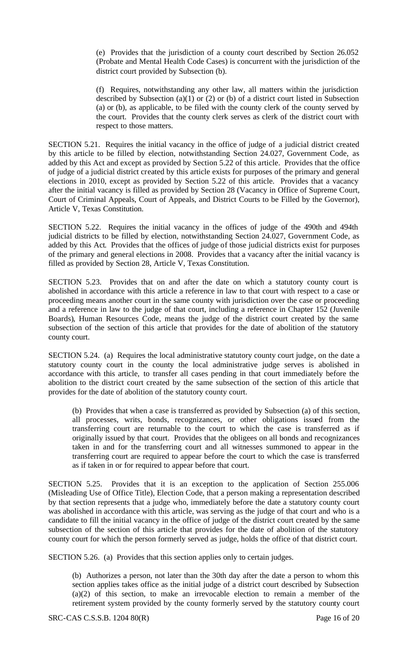(e) Provides that the jurisdiction of a county court described by Section 26.052 (Probate and Mental Health Code Cases) is concurrent with the jurisdiction of the district court provided by Subsection (b).

(f) Requires, notwithstanding any other law, all matters within the jurisdiction described by Subsection (a)(1) or (2) or (b) of a district court listed in Subsection (a) or (b), as applicable, to be filed with the county clerk of the county served by the court. Provides that the county clerk serves as clerk of the district court with respect to those matters.

SECTION 5.21. Requires the initial vacancy in the office of judge of a judicial district created by this article to be filled by election, notwithstanding Section 24.027, Government Code, as added by this Act and except as provided by Section 5.22 of this article. Provides that the office of judge of a judicial district created by this article exists for purposes of the primary and general elections in 2010, except as provided by Section 5.22 of this article. Provides that a vacancy after the initial vacancy is filled as provided by Section 28 (Vacancy in Office of Supreme Court, Court of Criminal Appeals, Court of Appeals, and District Courts to be Filled by the Governor), Article V, Texas Constitution.

SECTION 5.22. Requires the initial vacancy in the offices of judge of the 490th and 494th judicial districts to be filled by election, notwithstanding Section 24.027, Government Code, as added by this Act. Provides that the offices of judge of those judicial districts exist for purposes of the primary and general elections in 2008. Provides that a vacancy after the initial vacancy is filled as provided by Section 28, Article V, Texas Constitution.

SECTION 5.23. Provides that on and after the date on which a statutory county court is abolished in accordance with this article a reference in law to that court with respect to a case or proceeding means another court in the same county with jurisdiction over the case or proceeding and a reference in law to the judge of that court, including a reference in Chapter 152 (Juvenile Boards), Human Resources Code, means the judge of the district court created by the same subsection of the section of this article that provides for the date of abolition of the statutory county court.

SECTION 5.24. (a) Requires the local administrative statutory county court judge, on the date a statutory county court in the county the local administrative judge serves is abolished in accordance with this article, to transfer all cases pending in that court immediately before the abolition to the district court created by the same subsection of the section of this article that provides for the date of abolition of the statutory county court.

(b) Provides that when a case is transferred as provided by Subsection (a) of this section, all processes, writs, bonds, recognizances, or other obligations issued from the transferring court are returnable to the court to which the case is transferred as if originally issued by that court. Provides that the obligees on all bonds and recognizances taken in and for the transferring court and all witnesses summoned to appear in the transferring court are required to appear before the court to which the case is transferred as if taken in or for required to appear before that court.

SECTION 5.25. Provides that it is an exception to the application of Section 255.006 (Misleading Use of Office Title), Election Code, that a person making a representation described by that section represents that a judge who, immediately before the date a statutory county court was abolished in accordance with this article, was serving as the judge of that court and who is a candidate to fill the initial vacancy in the office of judge of the district court created by the same subsection of the section of this article that provides for the date of abolition of the statutory county court for which the person formerly served as judge, holds the office of that district court.

SECTION 5.26. (a) Provides that this section applies only to certain judges.

(b) Authorizes a person, not later than the 30th day after the date a person to whom this section applies takes office as the initial judge of a district court described by Subsection (a)(2) of this section, to make an irrevocable election to remain a member of the retirement system provided by the county formerly served by the statutory county court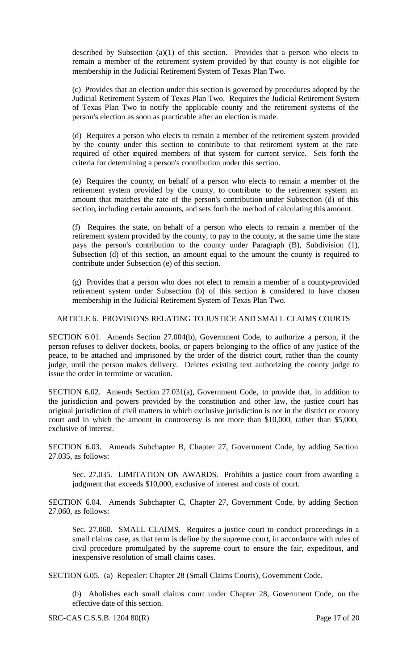described by Subsection (a)(1) of this section. Provides that a person who elects to remain a member of the retirement system provided by that county is not eligible for membership in the Judicial Retirement System of Texas Plan Two.

(c) Provides that an election under this section is governed by procedures adopted by the Judicial Retirement System of Texas Plan Two. Requires the Judicial Retirement System of Texas Plan Two to notify the applicable county and the retirement systems of the person's election as soon as practicable after an election is made.

(d) Requires a person who elects to remain a member of the retirement system provided by the county under this section to contribute to that retirement system at the rate required of other required members of that system for current service. Sets forth the criteria for determining a person's contribution under this section.

(e) Requires the county, on behalf of a person who elects to remain a member of the retirement system provided by the county, to contribute to the retirement system an amount that matches the rate of the person's contribution under Subsection (d) of this section, including certain amounts, and sets forth the method of calculating this amount.

(f) Requires the state, on behalf of a person who elects to remain a member of the retirement system provided by the county, to pay to the county, at the same time the state pays the person's contribution to the county under Paragraph (B), Subdivision (1), Subsection (d) of this section, an amount equal to the amount the county is required to contribute under Subsection (e) of this section.

(g) Provides that a person who does not elect to remain a member of a county-provided retirement system under Subsection (b) of this section is considered to have chosen membership in the Judicial Retirement System of Texas Plan Two.

## ARTICLE 6. PROVISIONS RELATING TO JUSTICE AND SMALL CLAIMS COURTS

SECTION 6.01. Amends Section 27.004(b), Government Code, to authorize a person, if the person refuses to deliver dockets, books, or papers belonging to the office of any justice of the peace, to be attached and imprisoned by the order of the district court, rather than the county judge, until the person makes delivery. Deletes existing text authorizing the county judge to issue the order in termtime or vacation.

SECTION 6.02. Amends Section 27.031(a), Government Code, to provide that, in addition to the jurisdiction and powers provided by the constitution and other law, the justice court has original jurisdiction of civil matters in which exclusive jurisdiction is not in the district or county court and in which the amount in controversy is not more than \$10,000, rather than \$5,000, exclusive of interest.

SECTION 6.03. Amends Subchapter B, Chapter 27, Government Code, by adding Section 27.035, as follows:

Sec. 27.035. LIMITATION ON AWARDS. Prohibits a justice court from awarding a judgment that exceeds \$10,000, exclusive of interest and costs of court.

SECTION 6.04. Amends Subchapter C, Chapter 27, Government Code, by adding Section 27.060, as follows:

Sec. 27.060. SMALL CLAIMS. Requires a justice court to conduct proceedings in a small claims case, as that term is define by the supreme court, in accordance with rules of civil procedure promulgated by the supreme court to ensure the fair, expeditous, and inexpensive resolution of small claims cases.

SECTION 6.05. (a) Repealer: Chapter 28 (Small Claims Courts), Government Code.

(b) Abolishes each small claims court under Chapter 28, Government Code, on the effective date of this section.

SRC-CAS C.S.S.B. 1204 80(R) Page 17 of 20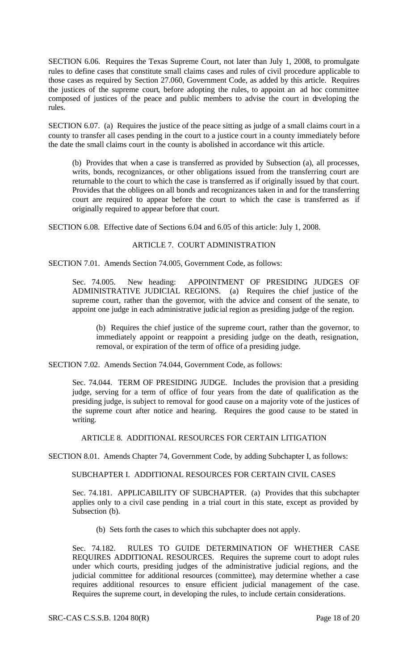SECTION 6.06. Requires the Texas Supreme Court, not later than July 1, 2008, to promulgate rules to define cases that constitute small claims cases and rules of civil procedure applicable to those cases as required by Section 27.060, Government Code, as added by this article. Requires the justices of the supreme court, before adopting the rules, to appoint an ad hoc committee composed of justices of the peace and public members to advise the court in developing the rules.

SECTION 6.07. (a) Requires the justice of the peace sitting as judge of a small claims court in a county to transfer all cases pending in the court to a justice court in a county immediately before the date the small claims court in the county is abolished in accordance wit this article.

(b) Provides that when a case is transferred as provided by Subsection (a), all processes, writs, bonds, recognizances, or other obligations issued from the transferring court are returnable to the court to which the case is transferred as if originally issued by that court. Provides that the obligees on all bonds and recognizances taken in and for the transferring court are required to appear before the court to which the case is transferred as if originally required to appear before that court.

SECTION 6.08. Effective date of Sections 6.04 and 6.05 of this article: July 1, 2008.

## ARTICLE 7. COURT ADMINISTRATION

SECTION 7.01. Amends Section 74.005, Government Code, as follows:

Sec. 74.005. New heading: APPOINTMENT OF PRESIDING JUDGES OF ADMINISTRATIVE JUDICIAL REGIONS. (a) Requires the chief justice of the supreme court, rather than the governor, with the advice and consent of the senate, to appoint one judge in each administrative judic ial region as presiding judge of the region.

(b) Requires the chief justice of the supreme court, rather than the governor, to immediately appoint or reappoint a presiding judge on the death, resignation, removal, or expiration of the term of office of a presiding judge.

SECTION 7.02. Amends Section 74.044, Government Code, as follows:

Sec. 74.044. TERM OF PRESIDING JUDGE. Includes the provision that a presiding judge, serving for a term of office of four years from the date of qualification as the presiding judge, is subject to removal for good cause on a majority vote of the justices of the supreme court after notice and hearing. Requires the good cause to be stated in writing.

ARTICLE 8. ADDITIONAL RESOURCES FOR CERTAIN LITIGATION

SECTION 8.01. Amends Chapter 74, Government Code, by adding Subchapter I, as follows:

SUBCHAPTER I. ADDITIONAL RESOURCES FOR CERTAIN CIVIL CASES

Sec. 74.181. APPLICABILITY OF SUBCHAPTER. (a) Provides that this subchapter applies only to a civil case pending in a trial court in this state, except as provided by Subsection (b).

(b) Sets forth the cases to which this subchapter does not apply.

Sec. 74.182. RULES TO GUIDE DETERMINATION OF WHETHER CASE REQUIRES ADDITIONAL RESOURCES. Requires the supreme court to adopt rules under which courts, presiding judges of the administrative judicial regions, and the judicial committee for additional resources (committee), may determine whether a case requires additional resources to ensure efficient judicial management of the case. Requires the supreme court, in developing the rules, to include certain considerations.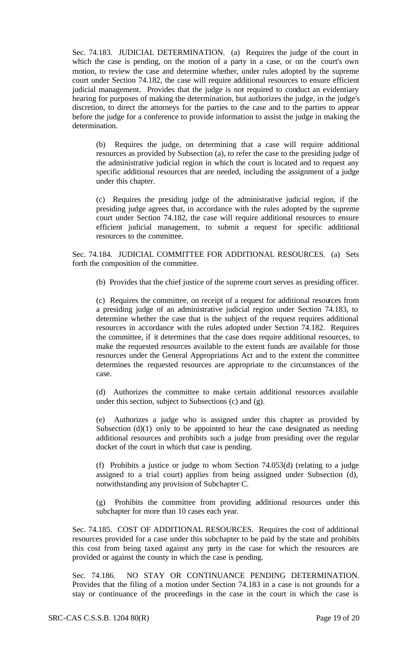Sec. 74.183. JUDICIAL DETERMINATION. (a) Requires the judge of the court in which the case is pending, on the motion of a party in a case, or on the court's own motion, to review the case and determine whether, under rules adopted by the supreme court under Section 74.182, the case will require additional resources to ensure efficient judicial management. Provides that the judge is not required to conduct an evidentiary hearing for purposes of making the determination, but authorizes the judge, in the judge's discretion, to direct the attorneys for the parties to the case and to the parties to appear before the judge for a conference to provide information to assist the judge in making the determination.

(b) Requires the judge, on determining that a case will require additional resources as provided by Subsection (a), to refer the case to the presiding judge of the administrative judicial region in which the court is located and to request any specific additional resources that are needed, including the assignment of a judge under this chapter.

(c) Requires the presiding judge of the administrative judicial region, if the presiding judge agrees that, in accordance with the rules adopted by the supreme court under Section 74.182, the case will require additional resources to ensure efficient judicial management, to submit a request for specific additional resources to the committee.

Sec. 74.184. JUDICIAL COMMITTEE FOR ADDITIONAL RESOURCES. (a) Sets forth the composition of the committee.

(b) Provides that the chief justice of the supreme court serves as presiding officer.

(c) Requires the committee, on receipt of a request for additional resources from a presiding judge of an administrative judicial region under Section 74.183, to determine whether the case that is the subject of the request requires additional resources in accordance with the rules adopted under Section 74.182. Requires the committee, if it determines that the case does require additional resources, to make the requested resources available to the extent funds are available for those resources under the General Appropriations Act and to the extent the committee determines the requested resources are appropriate to the circumstances of the case.

(d) Authorizes the committee to make certain additional resources available under this section, subject to Subsections (c) and (g).

(e) Authorizes a judge who is assigned under this chapter as provided by Subsection  $(d)(1)$  only to be appointed to hear the case designated as needing additional resources and prohibits such a judge from presiding over the regular docket of the court in which that case is pending.

(f) Prohibits a justice or judge to whom Section 74.053(d) (relating to a judge assigned to a trial court) applies from being assigned under Subsection (d), notwithstanding any provision of Subchapter C.

(g) Prohibits the committee from providing additional resources under this subchapter for more than 10 cases each year.

Sec. 74.185. COST OF ADDITIONAL RESOURCES. Requires the cost of additional resources provided for a case under this subchapter to be paid by the state and prohibits this cost from being taxed against any party in the case for which the resources are provided or against the county in which the case is pending.

Sec. 74.186. NO STAY OR CONTINUANCE PENDING DETERMINATION. Provides that the filing of a motion under Section 74.183 in a case is not grounds for a stay or continuance of the proceedings in the case in the court in which the case is